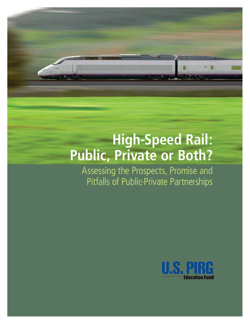# **High-Speed Rail: Public, Private or Both?**

Assessing the Prospects, Promise and Pitfalls of Public-Private Partnerships

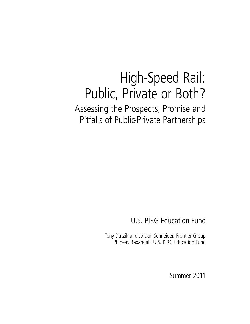## High-Speed Rail: Public, Private or Both? Assessing the Prospects, Promise and Pitfalls of Public-Private Partnerships

## U.S. PIRG Education Fund

Tony Dutzik and Jordan Schneider, Frontier Group Phineas Baxandall, U.S. PIRG Education Fund

Summer 2011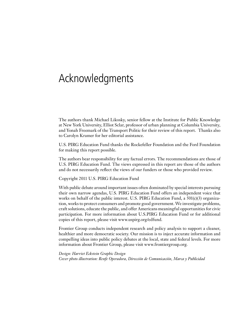## Acknowledgments

The authors thank Michael Likosky, senior fellow at the Institute for Public Knowledge at New York University, Elliot Sclar, professor of urban planning at Columbia University, and Yonah Freemark of the Transport Politic for their review of this report. Thanks also to Carolyn Kramer for her editorial assistance.

U.S. PIRG Education Fund thanks the Rockefeller Foundation and the Ford Foundation for making this report possible.

The authors bear responsibility for any factual errors. The recommendations are those of U.S. PIRG Education Fund. The views expressed in this report are those of the authors and do not necessarily reflect the views of our funders or those who provided review.

Copyright 2011 U.S. PIRG Education Fund

With public debate around important issues often dominated by special interests pursuing their own narrow agendas, U.S. PIRG Education Fund offers an independent voice that works on behalf of the public interest. U.S. PIRG Education Fund, a 501(c)(3) organization, works to protect consumers and promote good government. We investigate problems, craft solutions, educate the public, and offer Americans meaningful opportunities for civic participation. For more information about U.S.PIRG Education Fund or for additional copies of this report, please visit www.uspirg.org/edfund.

Frontier Group conducts independent research and policy analysis to support a cleaner, healthier and more democratic society. Our mission is to inject accurate information and compelling ideas into public policy debates at the local, state and federal levels. For more information about Frontier Group, please visit www.frontiergroup.org.

*Design: Harriet Eckstein Graphic Design Cover photo illustration: Renfe Operadora, Dirección de Comunicación, Marca y Publicidad*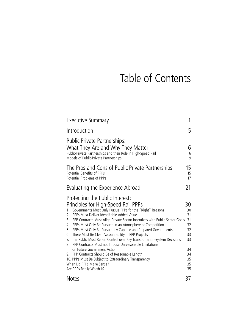## Table of Contents

| <b>Executive Summary</b>                                                                                                                                                                                                                                                                                                                                                                                                                                                                                                                                                                                                                                                                                                                                                                                                                    |                                                                            |  |  |  |
|---------------------------------------------------------------------------------------------------------------------------------------------------------------------------------------------------------------------------------------------------------------------------------------------------------------------------------------------------------------------------------------------------------------------------------------------------------------------------------------------------------------------------------------------------------------------------------------------------------------------------------------------------------------------------------------------------------------------------------------------------------------------------------------------------------------------------------------------|----------------------------------------------------------------------------|--|--|--|
| Introduction                                                                                                                                                                                                                                                                                                                                                                                                                                                                                                                                                                                                                                                                                                                                                                                                                                | 5                                                                          |  |  |  |
| Public-Private Partnerships:<br>What They Are and Why They Matter<br>Public-Private Partnerships and their Role in High-Speed Rail<br>Models of Public-Private Partnerships                                                                                                                                                                                                                                                                                                                                                                                                                                                                                                                                                                                                                                                                 | 6<br>6<br>$\overline{9}$                                                   |  |  |  |
| The Pros and Cons of Public-Private Partnerships<br><b>Potential Benefits of PPPs</b><br>Potential Problems of PPPs                                                                                                                                                                                                                                                                                                                                                                                                                                                                                                                                                                                                                                                                                                                         | 15<br>15<br>17                                                             |  |  |  |
| Evaluating the Experience Abroad                                                                                                                                                                                                                                                                                                                                                                                                                                                                                                                                                                                                                                                                                                                                                                                                            | 21                                                                         |  |  |  |
| Protecting the Public Interest:<br>Principles for High-Speed Rail PPPs<br>Governments Must Only Pursue PPPs for the "Right" Reasons<br>1:<br>PPPs Must Deliver Identifiable Added Value<br>2:<br>PPP Contracts Must Align Private Sector Incentives with Public Sector Goals<br>3.<br>PPPs Must Only Be Pursued in an Atmosphere of Competition<br>4.<br>5. PPPs Must Only Be Pursued by Capable and Prepared Governments<br>There Must Be Clear Accountability in PPP Projects<br>6.<br>The Public Must Retain Control over Key Transportation-System Decisions<br>7.<br>PPP Contracts Must not Impose Unreasonable Limitations<br>8.<br>on Future Government Action<br>9. PPP Contracts Should Be of Reasonable Length<br>10. PPPs Must Be Subject to Extraordinary Transparency<br>When Do PPPs Make Sense?<br>Are PPPs Really Worth It? | 30<br>30<br>31<br>31<br>32<br>32<br>33<br>33<br>34<br>34<br>35<br>35<br>35 |  |  |  |
| <b>Notes</b>                                                                                                                                                                                                                                                                                                                                                                                                                                                                                                                                                                                                                                                                                                                                                                                                                                | 37                                                                         |  |  |  |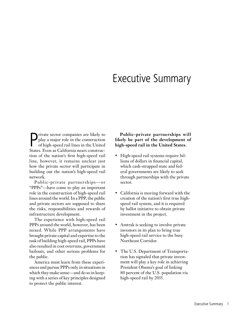## Executive Summary

 $\begin{tabular}{|l|l|} \hline \textbf{private sector companies are likely to play a major role in the construction of high-speed rail lines in the United States. Even as California nears constructor.} \end{tabular}$ rivate sector companies are likely to play a major role in the construction of high-speed rail lines in the United tion of the nation's first high-speed rail line, however, it remains unclear just how the private sector will participate in building out the nation's high-speed rail network.

Public-private partnerships-or "PPPs"—have come to play an important role in the construction of high-speed rail lines around the world. In a PPP, the public and private sectors are supposed to share the risks, responsibilities and rewards of infrastructure development.

The experience with high-speed rail PPPs around the world, however, has been mixed. While PPP arrangements have brought private capital and expertise to the task of building high-speed rail, PPPs have also resulted in cost overruns, government bailouts, and other serious problems for the public.

America must learn from these experiences and pursue PPPs only in situations in which they make sense—and do so in keeping with a series of key principles designed to protect the public interest.

**Public-private partnerships will likely be part of the development of high-speed rail in the United States.** 

- • High-speed rail systems require billions of dollars in financial capital, which cash-strapped state and federal governments are likely to seek through partnerships with the private sector.
- • California is moving forward with the creation of the nation's first true highspeed rail system, and it is required by ballot initiative to obtain private investment in the project.
- • Amtrak is seeking to involve private investors in its plan to bring true high-speed rail service to the busy Northeast Corridor.
- The U.S. Department of Transportation has signaled that private investment will play a key role in achieving President Obama's goal of linking 80 percent of the U.S. population via high-speed rail by 2035.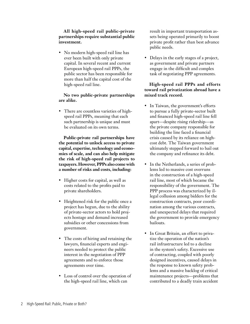#### **All high-speed rail public-private partnerships require substantial public investment.**

• No modern high-speed rail line has ever been built with only private capital. In several recent and current European high-speed rail PPPs, the public sector has been responsible for more than half the capital cost of the high-speed rail line.

#### **No two public-private partnerships are alike.**

• There are countless varieties of highspeed rail PPPs, meaning that each such partnership is unique and must be evaluated on its own terms.

**Public-private rail partnerships have the potential to unlock access to private capital, expertise, technology and economies of scale, and can also help mitigate the risk of high-speed rail projects to taxpayers. However, PPPs also come with a number of risks and costs, including:** 

- Higher costs for capital, as well as costs related to the profits paid to private shareholders.
- Heightened risk for the public once a project has begun, due to the ability of private-sector actors to hold projects hostage and demand increased subsidies or other concessions from government.
- The costs of hiring and retaining the lawyers, financial experts and engineers needed to protect the public interest in the negotiation of PPP agreements and to enforce those agreements over time.
- Loss of control over the operation of the high-speed rail line, which can

result in important transportation assets being operated primarily to boost private profit rather than best advance public needs.

• Delays in the early stages of a project, as government and private partners engage in the difficult and complex task of negotiating PPP agreements.

#### **High-speed rail PPPs and efforts toward rail privatization abroad have a mixed track record.**

- In Taiwan, the government's efforts to pursue a fully private-sector built and financed high-speed rail line fell apart—despite rising ridership—as the private company responsible for building the line faced a financial crisis caused by its reliance on highcost debt. The Taiwan government ultimately stepped forward to bail out the company and refinance its debt.
- In the Netherlands, a series of problems led to massive cost overruns in the construction of a high-speed rail line, most of which became the responsibility of the government. The PPP process was characterized by illegal collusion among bidders for the construction contracts, poor coordination among the various contracts, and unexpected delays that required the government to provide emergency bailouts.
- • In Great Britain, an effort to privatize the operation of the nation's rail infrastructure led to a decline in the system's safety. Excessive use of contracting, coupled with poorly designed incentives, caused delays in the response to known safety problems and a massive backlog of critical maintenance projects—problems that contributed to a deadly train accident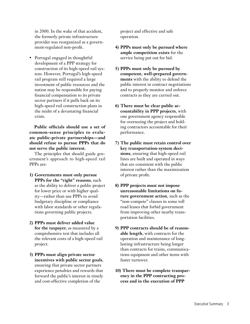in 2000. In the wake of that accident, the formerly private infrastructure provider was reorganized as a government-regulated non-profit.

• Portugal engaged in thoughtful development of a PPP strategy for construction of its high-speed rail system. However, Portugal's high-speed rail program still required a large investment of public resources and the nation may be responsible for paying financial compensation to its private sector partners if it pulls back on its high-speed rail construction plans in the midst of a devastating financial crisis.

**Public officials should use a set of common-sense principles to evaluate public-private partnerships—and should refuse to pursue PPPs that do not serve the public interest.**

The principles that should guide government's approach to high-speed rail PPPs are:

- **1) Governments must only pursue PPPs for the "right" reasons**, such as the ability to deliver a public project for lower price or with higher quality—rather than use PPPs to avoid budgetary discipline or compliance with labor standards or other regulations governing public projects.
- **2) PPPs must deliver added value for the taxpayer**, as measured by a comprehensive test that includes all the relevant costs of a high-speed rail project.
- **3) PPPs must align private sector incentives with public sector goals**, ensuring that private sector partners experience penalties and rewards that forward the public's interest in timely and cost-effective completion of the

project and effective and safe operation.

- **4) PPPs must only be pursued where ample competition exists** for the service being put out for bid.
- **5) PPPs must only be pursued by competent, well-prepared governments** with the ability to defend the public interest in contract negotiations and to properly monitor and enforce contracts as they are carried out.
- **6) There must be clear public accountability in PPP projects**, with one government agency responsible for overseeing the project and holding contractors accountable for their performance.
- **7) The public must retain control over key transportation-system decisions**, ensuring that high-speed rail lines are built and operated in ways that are consistent with the public interest rather than the maximization of private profit**.**
- **8) PPP projects must not impose unreasonable limitations on future government action**, such as the "non-compete" clauses in some toll road leases that forbid government from improving other nearby transportation facilities.
- **9) PPP contracts should be of reasonable length**, with contracts for the operation and maintenance of longlasting infrastructure being longer than contracts for trains, communications equipment and other items with faster turnover.
- **10) There must be complete transparency in the PPP contracting process and in the execution of PPP**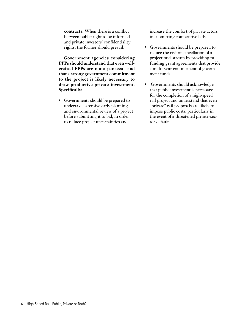**contracts.** When there is a conflict between public right to be informed and private investors' confidentiality rights, the former should prevail.

**Government agencies considering PPPs should understand that even wellcrafted PPPs are not a panacea—and that a strong government commitment to the project is likely necessary to draw productive private investment. Specifically:**

• Governments should be prepared to undertake extensive early planning and environmental review of a project before submitting it to bid, in order to reduce project uncertainties and

increase the comfort of private actors in submitting competitive bids.

- Governments should be prepared to reduce the risk of cancellation of a project mid-stream by providing fullfunding grant agreements that provide a multi-year commitment of government funds.
- • Governments should acknowledge that public investment is necessary for the completion of a high-speed rail project and understand that even "private" rail proposals are likely to impose public costs, particularly in the event of a threatened private-sector default.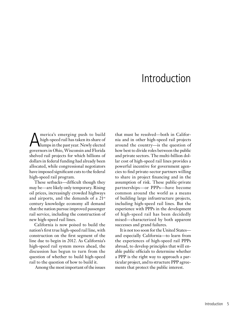## Introduction

America's emerging push to build<br>high-speed rail has taken its share of<br>lumps in the past year. Newly elected high-speed rail has taken its share of lumps in the past year. Newly elected governors in Ohio, Wisconsin and Florida shelved rail projects for which billions of dollars in federal funding had already been allocated, while congressional negotiators have imposed significant cuts to the federal high-speed rail program.

These setbacks—difficult though they may be—are likely only temporary. Rising oil prices, increasingly crowded highways and airports, and the demands of a 21st century knowledge economy all demand that the nation pursue improved passenger rail service, including the construction of new high-speed rail lines.

California is now poised to build the nation's first true high-speed rail line, with construction on the first segment of the line due to begin in 2012. As California's high-speed rail system moves ahead, the discussion has begun to turn from the question of whether to build high-speed rail to the question of how to build it.

Among the most important of the issues

that must be resolved—both in California and in other high-speed rail projects around the country—is the question of how best to divide roles between the public and private sectors. The multi-billion dollar cost of high-speed rail lines provides a powerful incentive for government agencies to find private-sector partners willing to share in project financing and in the assumption of risk. These public-private partnerships—or PPPs—have become common around the world as a means of building large infrastructure projects, including high-speed rail lines. But the experience with PPPs in the development of high-speed rail has been decidedly mixed—characterized by both apparent successes and grand failures.

It is not too soon for the United States and especially California—to learn from the experiences of high-speed rail PPPs abroad, to develop principles that will enable public officials to determine whether a PPP is the right way to approach a particular project, and to structure PPP agreements that protect the public interest.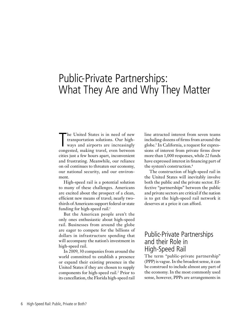## Public-Private Partnerships: What They Are and Why They Matter

The United States is in need of new<br>transportation solutions. Our high-<br>ways and airports are increasingly<br>congested, making travel, even between he United States is in need of new transportation solutions. Our highways and airports are increasingly cities just a few hours apart, inconvenient and frustrating. Meanwhile, our reliance on oil continues to threaten our economy, our national security, and our environment.

High-speed rail is a potential solution to many of these challenges. Americans are excited about the prospect of a clean, efficient new means of travel; nearly twothirds of Americans support federal or state funding for high-speed rail.<sup>1</sup>

But the American people aren't the only ones enthusiastic about high-speed rail. Businesses from around the globe are eager to compete for the billions of dollars in infrastructure spending that will accompany the nation's investment in high-speed rail.

In 2009, 30 companies from around the world committed to establish a presence or expand their existing presence in the United States if they are chosen to supply components for high-speed rail.<sup>2</sup> Prior to its cancellation, the Florida high-speed rail

line attracted interest from seven teams including dozens of firms from around the globe.3 In California, a request for expressions of interest from private firms drew more than 1,000 responses, while 22 funds have expressed interest in financing part of the system's construction.4

The construction of high-speed rail in the United States will inevitably involve both the public and the private sector. Effective "partnerships" between the public and private sectors are critical if the nation is to get the high-speed rail network it deserves at a price it can afford.

### Public-Private Partnerships and their Role in High-Speed Rail

The term "public-private partnership" (PPP) is vague. In the broadest sense, it can be construed to include almost any part of the economy. In the most commonly used sense, however, PPPs are arrangements in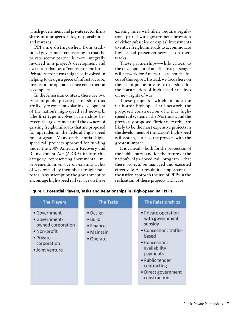which government and private sector firms share in a project's risks, responsibilities and rewards.

PPPs are distinguished from traditional government contracting in that the private sector partner is more integrally involved in a project's development and execution than as a "contractor for hire." Private-sector firms might be involved in helping to design a piece of infrastructure, finance it, or operate it once construction is complete.

In the American context, there are two types of public-private partnerships that are likely to come into play in development of the nation's high-speed rail network. The first type involves partnerships between the government and the owners of existing freight railroads that are proposed for upgrades in the federal high-speed rail program. Many of the initial highspeed rail projects approved for funding under the 2009 American Recovery and Reinvestment Act (ARRA) fit into this category, representing incremental improvements in service on existing rights of way owned by incumbent freight railroads. Any attempt by the government to encourage high-speed rail service on these

existing lines will likely require regulations paired with government provision of either subsidies or capital investments to entice freight railroads to accommodate high-speed passenger services on their tracks.

These partnerships—while critical to the development of an effective passenger rail network for America—are not the focus of this report. Instead, we focus here on the use of public-private partnerships for the construction of high-speed rail lines on new rights of way.

These projects—which include the California high-speed rail network, the proposed construction of a true highspeed rail system in the Northeast, and the previously proposed Florida network—are likely to be the most expensive projects in the development of the nation's high-speed rail system, but also the projects with the greatest impact.

It is critical—both for the protection of the public purse and for the future of the nation's high-speed rail program—that these projects be managed and executed effectively. As a result, it is important that the nation approach the use of PPPs in the realization of these projects with care.

| <b>The Players</b>                                                                                                | <b>The Tasks</b>                                            | The Relationships                                                                                                                                                                                          |
|-------------------------------------------------------------------------------------------------------------------|-------------------------------------------------------------|------------------------------------------------------------------------------------------------------------------------------------------------------------------------------------------------------------|
| • Government<br>• Government-<br>owned corporation<br>• Non-profit<br>• Private<br>corporation<br>· Joint venture | • Design<br>• Build<br>• Finance<br>• Maintain<br>• Operate | • Private operation<br>with government<br>subsidy<br>• Concession: traffic-<br>based<br>• Concession:<br>availability<br>payments<br>· Public tender<br>contracting<br>· Direct government<br>construction |

|  | Figure 1. Potential Players, Tasks and Relationships in High-Speed Rail PPPs |  |
|--|------------------------------------------------------------------------------|--|
|  |                                                                              |  |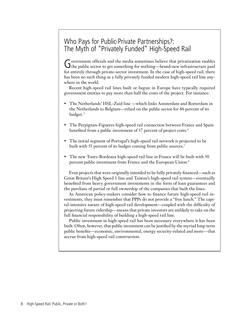## Who Pays for Public-Private Partnerships?: The Myth of "Privately Funded" High-Speed Rail

Government officials and the media sometimes believe that privatization enables<br>the public sector to get something for nothing—brand-new infrastructure paid for entirely through private-sector investment. In the case of high-speed rail, there has been no such thing as a fully privately funded modern high-speed rail line anywhere in the world.

Recent high-speed rail lines built or begun in Europe have typically required government entities to pay more than half the costs of the project. For instance:

- The Netherlands' HSL-Zuid line —which links Amsterdam and Rotterdam in the Netherlands to Belgium—relied on the public sector for 86 percent of its budget.<sup>5</sup>
- The Perpignan-Figueres high-speed rail connection between France and Spain benefited from a public investment of 57 percent of project costs.<sup>6</sup>
- The initial segment of Portugal's high-speed rail network is projected to be built with 55 percent of its budget coming from public sources.<sup>7</sup>
- The new Tours-Bordeaux high-speed rail line in France will be built with 50 percent public investment from France and the European Union.8

Even projects that were originally intended to be fully privately financed—such as Great Britain's High Speed 1 line and Taiwan's high-speed rail system—eventually benefited from heavy government investments in the form of loan guarantees and the purchase of partial or full ownership of the companies that built the lines.

As American policy-makers consider how to finance future high-speed rail investments, they must remember that PPPs do not provide a "free lunch." The capital-intensive nature of high-speed rail development—coupled with the difficulty of projecting future ridership—means that private investors are unlikely to take on the full financial responsibility of building a high-speed rail line.

Public investment in high-speed rail has been necessary everywhere it has been built. Often, however, that public investment can be justified by the myriad long-term public benefits—economic, environmental, energy security-related and more—that accrue from high-speed rail construction.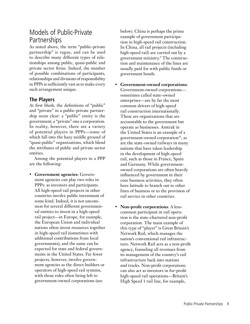## Models of Public-Private Partnerships

As noted above, the term "public-private partnership" is vague, and can be used to describe many different types of relationships among public, quasi-public and private sector firms. Indeed, the number of possible combinations of participants, relationships and divisions of responsibility in PPPs is sufficiently vast as to make every such arrangement unique.

#### **The Players**

At first blush, the definitions of "public" and "private" in a public-private partnership seem clear: a "public" entity is the government; a "private" one a corporation. In reality, however, there are a variety of potential players in PPPs—some of which fall into the hazy middle ground of "quasi-public" organizations, which blend the attributes of public and private sector entities.

Among the potential players in a PPP are the following:

• **Government agencies**: Government agencies can play two roles in PPPs: as investors and participants. All high-speed rail projects in other countries involve public investment of some kind. Indeed, it is not uncommon for several different governmental entities to invest in a high-speed rail project—in Europe, for example, the European Union and individual nations often invest resources together in high-speed rail (sometimes with additional contributions from local governments), and the same can be expected for state and federal governments in the United States. Far fewer projects, however, involve government agencies as the direct builders or operators of high-speed rail systems, with those roles often being left to government-owned corporations (see

below). China is perhaps the prime example of government participation in high-speed rail construction. In China, all rail projects (including high-speed rail) are carried out by a government ministry.9 The construction and maintenance of the lines are usually paid for with public funds or government bonds.

- • **Government-owned corporations:**  Government-owned corporations sometimes called state-owned enterprises—are by far the most common drivers of high-speed rail construction internationally. These are organizations that are accountable to the government but operate as businesses. Amtrak in the United States is an example of a government-owned corporation $10$ , as are the state-owned railways in many nations that have taken leadership in the development of high-speed rail, such as those in France, Spain and Germany. While governmentowned corporations are often heavily influenced by government in their core business activities, they often have latitude to branch out to other lines of business or to the provision of rail service in other countries.
- **Non-profit corporations:** A lesscommon participant in rail operation is the state-chartered non-profit corporation. The main example of this type of "player" is Great Britain's Network Rail, which manages the nation's conventional rail infrastructure. Network Rail acts as a non-profit agency, funneling all revenues from its management of the country's rail infrastructure back into stations and tracks. Non-profit corporations can also act as investors in for-profit high-speed rail operations—Britain's High Speed 1 rail line, for example,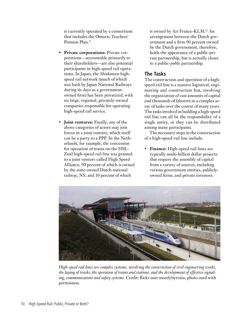is currently operated by a consortium that includes the Ontario Teachers' Pension Plan.<sup>11</sup>

- **Private corporations:** Private corporations—accountable primarily to their shareholders—are also potential participants in high-speed rail operations. In Japan, the *Shinkansen* highspeed rail network (much of which was built by Japan National Railways during its days as a governmentowned firm) has been privatized, with six large, regional, privately-owned companies responsible for operating high-speed rail service.
- **Joint ventures:** Finally, any of the above categories of actors may join forces in a joint venture, which itself can be a party to a PPP. In the Netherlands, for example, the concession for operation of trains on the HSL-Zuid high-speed rail line was granted to a joint venture called High Speed Alliance, 90 percent of which is owned by the state-owned Dutch national railway, NS, and 10 percent of which

is owned by Air France-KLM.12 An arrangement between the Dutch government and a firm 90 percent owned by the Dutch government, therefore, holds the appearance of a public-private partnership, but is actually closer to a public-*public* partnership.

#### **The Tasks**

The construction and operation of a highspeed rail line is a massive logistical, engineering and construction feat, involving the organization of vast amounts of capital and thousands of laborers in a complex array of tasks over the course of many years. The tasks involved in building a high-speed rail line can all be the responsibility of a single entity, or they can be distributed among many participants.

The necessary steps in the construction of a high-speed rail line include:

• **Finance:** High-speed rail lines are typically multi-billion dollar projects that require the assembly of capital from a variety of sources, including various government entities, publiclyowned firms, and private investors.



*High-speed rail lines are complex systems, involving the construction of civil engineering works, the laying of tracks, the operation of trains and stations, and the development of effective signaling, communications and safety systems.* Credit: flickr user mostlybytrain, photo used with permission.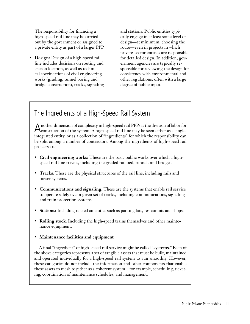The responsibility for financing a high-speed rail line may be carried out by the government or assigned to a private entity as part of a larger PPP.

**Design:** Design of a high-speed rail line includes decisions on routing and station location, as well as technical specifications of civil engineering works (grading, tunnel boring and bridge construction), tracks, signaling and stations. Public entities typically engage in at least some level of design—at minimum, choosing the route—even in projects in which private-sector entities are responsible for detailed design. In addition, government agencies are typically responsible for reviewing the design for consistency with environmental and other regulations, often with a large degree of public input.

## The Ingredients of a High-Speed Rail System

Another dimension of complexity in high-speed rail PPPs is the division of labor for construction of the system. A high-speed rail line may be seen either as a single, integrated entity, or as a collection of "ingredients" for which the responsibility can be split among a number of contractors. Among the ingredients of high-speed rail projects are:

- • **Civil engineering works**: These are the basic public works over which a highspeed rail line travels, including the graded rail bed, tunnels and bridges.
- • **Tracks**: These are the physical structures of the rail line, including rails and power systems.
- • **Communications and signaling**: These are the systems that enable rail service to operate safely over a given set of tracks, including communications, signaling and train protection systems.
- **Stations:** Including related amenities such as parking lots, restaurants and shops.
- • **Rolling stock**: Including the high-speed trains themselves and other maintenance equipment.

#### • **Maintenance facilities and equipment**

A final "ingredient" of high-speed rail service might be called "**systems**." Each of the above categories represents a set of tangible assets that must be built, maintained and operated individually for a high-speed rail system to run smoothly. However, these categories do not include the information and other components that enable these assets to mesh together as a coherent system—for example, scheduling, ticketing, coordination of maintenance schedules, and management.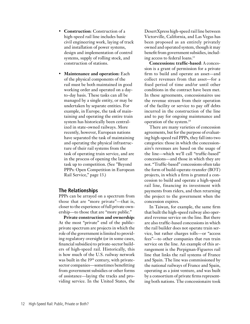- • **Construction**: Construction of a high-speed rail line includes basic civil engineering work, laying of track and installation of power systems, design and implementation of control systems, supply of rolling stock, and construction of stations.
- • **Maintenance and operation:** Each of the physical components of the rail must be both maintained in good working order and operated on a dayto-day basis. These tasks can all be managed by a single entity, or may be undertaken by separate entities. For example, in Europe, the task of maintaining and operating the entire train system has historically been centralized in state-owned railways. More recently, however, European nations have separated the task of maintaining and operating the physical infrastructure of their rail systems from the task of operating train service, and are in the process of opening the latter task up to competition. (See "Beyond PPPs: Open Competition in European Rail Service," page 13.)

#### **The Relationships**

PPPs can be arrayed on a spectrum from those that are "more private"—that is, closer to the experience of full private ownership—to those that are "more public."

**Private construction and ownership:** At the most "private" end of the publicprivate spectrum are projects in which the role of the government is limited to providing regulatory oversight (or in some cases, financial subsidies) to private-sector builders of high-speed rail. Historically, this is how much of the U.S. railway network was built in the 19<sup>th</sup> century, with privatesector companies—sometimes benefitting from government subsidies or other forms of assistance—laying the tracks and providing service. In the United States, the

DesertXpress high-speed rail line between Victorville, California, and Las Vegas has been proposed as an entirely privately owned and operated system, though it may benefit from government subsidies, including access to federal loans.13

**Concessions: traffic-based**: A concession is a grant of permission for a private firm to build and operate an asset—and collect revenues from that asset—for a fixed period of time and/or until other conditions in the contract have been met. In these agreements, concessionaires use the revenue stream from their operation of the facility or service to pay off debts incurred in the construction of the line and to pay for ongoing maintenance and operation of the system.14

There are many varieties of concession agreements, but for the purpose of evaluating high-speed rail PPPs, they fall into two categories: those in which the concessionaire's revenues are based on the usage of the line—which we'll call "traffic-based" concessions—and those in which they are not. "Traffic-based" concessions often take the form of build-operate-transfer (BOT) projects, in which a firm is granted a concession to build and operate a high-speed rail line, financing its investment with payments from riders, and then returning the project to the government when the concession expires.

In Taiwan, for example, the same firm that built the high-speed railway also operated revenue service on the line. But there are also traffic-based concessions in which the rail builder does not operate train service, but rather charges tolls—or "access fees"—to other companies that run train service on the line. An example of this arrangement is the Perpignan-Figueres rail line that links the rail systems of France and Spain. The line was commissioned by the national railways of France and Spain, operating as a joint venture, and was built by a consortium of private firms representing both nations. The concessionaire took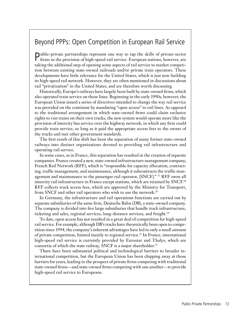## Beyond PPPs: Open Competition in European Rail Service

Public-private partnerships represent one way to tap the skills of private-sector firms in the provision of high-speed rail service. European nations, however, are taking the additional step of opening some aspects of rail service to market competition between existing state-owned railroads and/or private train operators. These developments have little relevance for the United States, which is just now building its high-speed rail network. However, they are often mentioned in discussions about rail "privatization" in the United States, and are therefore worth discussing.

Historically, Europe's railways have largely been built by state-owned firms, which also operated train service on those lines. Beginning in the early 1990s, however, the European Union issued a series of directives intended to change the way rail service was provided on the continent by mandating "open access" to rail lines. As opposed to the traditional arrangement in which state-owned firms could claim exclusive rights to run trains on their own tracks, the new system would operate more like the provision of intercity bus service over the highway network, in which any firm could provide train service, so long as it paid the appropriate access fees to the owner of the tracks and met other government standards.

The first result of this shift has been the separation of many former state-owned railways into distinct organizations devoted to providing rail infrastructure and operating rail service.

In some cases, as in France, this separation has resulted in the creation of separate companies. France created a new, state-owned infrastructure management company, French Rail Network (RFF), which is "responsible for capacity allocation, contracting, traffic management, and maintenance, although it subcontracts the traffic management and maintenance to the passenger rail operator, [SNCF]." <sup>17</sup> RFF owns all intercity rail infrastructure in France except stations, which are retained by SNCF.18 RFF collects track access fees, which are approved by the Ministry for Transport, from SNCF and other rail operators who wish to use the network.19

In Germany, the infrastructure and rail operations functions are carried out by separate subsidiaries of the same firm, Deutsche Bahn (DB), a state-owned company. The company is divided into five large subsidiaries that handle track infrastructure, ticketing and sales, regional services, long-distance services, and freight.<sup>20</sup>

To date, open access has not resulted in a great deal of competition for high-speed rail service. For example, although DB's tracks have theoretically been open to competition since 1994, the company's inherent advantages have led to only a small amount of private competition, limited mainly to regional service.21 In France, international high-speed rail service is currently provided by Eurostar and Thalys, which are consortia of which the state railway, SNCF is a major shareholder.<sup>23</sup>

There have been substantial political and technological barriers to broader international competition, but the European Union has been chipping away at those barriers for years, leading to the prospect of private firms competing with traditional state-owned firms—and state-owned firms competing with one another—to provide high-speed rail service to Europeans.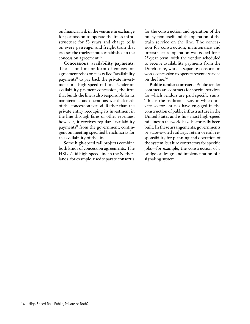on financial risk in the venture in exchange for permission to operate the line's infrastructure for 53 years and charge tolls on every passenger and freight train that crosses the tracks at rates established in the concession agreement.15

**Concessions: availability payments**: The second major form of concession agreement relies on fees called "availability payments" to pay back the private investment in a high-speed rail line. Under an availability payment concession, the firm that builds the line is also responsible for its maintenance and operations over the length of the concession period. Rather than the private entity recouping its investment in the line through fares or other revenues, however, it receives regular "availability payments" from the government, contingent on meeting specified benchmarks for the availability of the line.

Some high-speed rail projects combine both kinds of concession agreements. The HSL-Zuid high-speed line in the Netherlands, for example, used separate consortia

for the construction and operation of the rail system itself and the operation of the train service on the line. The concession for construction, maintenance and infrastructure operation was issued for a 25-year term, with the vendor scheduled to receive availability payments from the Dutch state, while a separate consortium won a concession to operate revenue service on the line.16

**Public tender contracts:** Public tender contracts are contracts for specific services for which vendors are paid specific sums. This is the traditional way in which private-sector entities have engaged in the construction of public infrastructure in the United States and is how most high-speed rail lines in the world have historically been built. In these arrangements, governments or state-owned railways retain overall responsibility for planning and operation of the system, but hire contractors for specific jobs—for example, the construction of a bridge or design and implementation of a signaling system.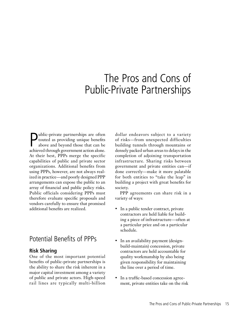## The Pros and Cons of Public-Private Partnerships

**P** ublic-private partnerships are often<br>touted as providing unique benefits<br>above and beyond those that can be<br>echieved through covernment ection alone touted as providing unique benefits above and beyond those that can be achieved through government action alone. At their best, PPPs merge the specific capabilities of public and private sector organizations. Additional benefits from using PPPs, however, are not always realized in practice—and poorly designed PPP arrangements can expose the public to an array of financial and public policy risks. Public officials considering PPPs must therefore evaluate specific proposals and vendors carefully to ensure that promised additional benefits are realized.

### Potential Benefits of PPPs

#### **Risk Sharing**

One of the most important potential benefits of public-private partnerships is the ability to share the risk inherent in a major capital investment among a variety of public and private actors. High-speed rail lines are typically multi-billion dollar endeavors subject to a variety of risks—from unexpected difficulties building tunnels through mountains or densely packed urban areas to delays in the completion of adjoining transportation infrastructure. Sharing risks between government and private entities can—if done correctly—make it more palatable for both entities to "take the leap" in building a project with great benefits for society.

PPP agreements can share risk in a variety of ways:

- In a public tender contract, private contractors are held liable for building a piece of infrastructure—often at a particular price and on a particular schedule.
- In an availability payment (designbuild-maintain) concession, private contractors are held accountable for quality workmanship by also being given responsibility for maintaining the line over a period of time.
- In a traffic-based concession agreement, private entities take on the risk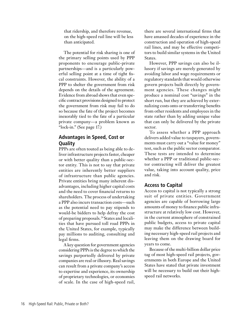that ridership, and therefore revenue, on the high-speed rail line will be less than anticipated.

The potential for risk sharing is one of the primary selling points used by PPP proponents to encourage public-private partnerships—and is a particularly powerful selling point at a time of tight fiscal constraints. However, the ability of a PPP to shelter the government from risk depends on the details of the agreement. Evidence from abroad shows that even specific contract provisions designed to protect the government from risk may fail to do so because the fate of the project becomes inexorably tied to the fate of a particular private company—a problem known as "lock-in." (See page 17.)

#### **Advantages in Speed, Cost or Quality**

PPPs are often touted as being able to deliver infrastructure projects faster, cheaper or with better quality than a public-sector entity. This is not to say that private entities are inherently better suppliers of infrastructure than public agencies. Private entities bring many inherent disadvantages, including higher capital costs and the need to cover financial returns to shareholders. The process of undertaking a PPP also incurs transaction costs—such as the potential need to pay stipends to would-be bidders to help defray the cost of preparing proposals.24 States and localities that have pursued toll road PPPs in the United States, for example, typically pay millions to auditing, consulting and legal firms.

A key question for government agencies considering PPPs is the degree to which the savings purportedly delivered by private companies are real or illusory. Real savings can result from a private company's access to expertise and experience, its ownership of proprietary technologies, or economies of scale. In the case of high-speed rail,

there are several international firms that have amassed decades of experience in the construction and operation of high-speed rail lines, and may be effective competitors to build similar systems in the United States.

However, PPP savings can also be illusory if savings are merely generated by avoiding labor and wage requirements or regulatory standards that would otherwise govern projects built directly by government agencies. These changes might produce a nominal cost "savings" in the short run, but they are achieved by externalizing costs onto or transferring benefits from other residents and employees in the state rather than by adding unique value that can only be delivered by the private sector.

To assess whether a PPP approach delivers added value to taxpayers, governments must carry out a "value for money" test, such as the public sector comparator. These tests are intended to determine whether a PPP or traditional public-sector contracting will deliver the greatest value, taking into account quality, price and risk.

#### **Access to Capital**

Access to capital is not typically a strong suit of private entities. Government agencies are capable of borrowing large amounts of money to finance public infrastructure at relatively low cost. However, in the current atmosphere of constrained public budgets, access to private capital may make the difference between building necessary high-speed rail projects and leaving them on the drawing board for years to come.

Because of the multi-billion dollar price tag of most high-speed rail projects, governments in both Europe and the United States have stated that private investment will be necessary to build out their highspeed rail networks.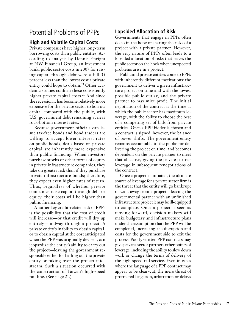## Potential Problems of PPPs

#### **High and Volatile Capital Costs**

Private companies have higher long-term borrowing costs than public entities. According to analysis by Dennis Enright at NW Financial Group, an investment bank, public sector costs in 2007 for raising capital through debt were a full 35 percent less than the lowest cost a private entity could hope to obtain.<sup>25</sup> Other academic studies confirm these consistently higher private capital costs.<sup>26</sup> And since the recession it has become relatively more expensive for the private sector to borrow capital compared with the public, with U.S. government debt remaining at near rock-bottom interest rates.

Because government officials can issue tax-free bonds and bond traders are willing to accept lower interest rates on public bonds, deals based on private capital are inherently more expensive than public financing. When investors purchase stocks or other forms of equity in private infrastructure companies, they take on greater risk than if they purchase private infrastructure bonds; therefore, they expect even higher rates of return. Thus, regardless of whether private companies raise capital through debt or equity, their costs will be higher than public financing.

Another key credit-related risk of PPPs is the possibility that the cost of credit will increase—or that credit will dry up entirely—midway through a project. A private entity's inability to obtain capital, or to obtain capital at the cost anticipated when the PPP was originally devised, can jeopardize the entity's ability to carry out the project—leaving the government responsible either for bailing out the private entity or taking over the project midstream. Such a situation occurred with the construction of Taiwan's high-speed rail line. (See page 21.)

#### **Lopsided Allocation of Risk**

Governments that engage in PPPs often do so in the hope of sharing the risks of a project with a private partner. However, the very nature of PPPs often leads to a lopsided allocation of risks that leaves the public sector on the hook when unexpected problems arise in a project.

Public and private entities come to PPPs with inherently different motivations: the government to deliver a given infrastructure project on time and with the lowest possible public outlay, and the private partner to maximize profit. The initial negotiation of the contract is the time at which the public sector has maximum leverage, with the ability to choose the best of a competing set of bids from private entities. Once a PPP bidder is chosen and a contract is signed, however, the balance of power shifts. The government entity remains accountable to the public for delivering the project on time, and becomes dependent on the private partner to meet that objective, giving the private partner leverage in subsequent renegotiations of the contract.

Once a project is initiated, the ultimate source of leverage for a private sector firm is the threat that the entity will go bankrupt or walk away from a project—leaving the governmental partner with an unfinished infrastructure project it may be ill-equipped to complete. Once a project is seen as moving forward, decision-makers will make budgetary and infrastructure plans under the assumption that the PPP will be completed, increasing the disruption and costs for the government side to exit the process. Poorly written PPP contracts may give private-sector partners other points of leverage: including the ability to slow down work or change the terms of delivery of the high-speed rail service. Even in cases where the language of a PPP contract may appear to be clear-cut, the mere threat of protracted litigation, arbitration or delays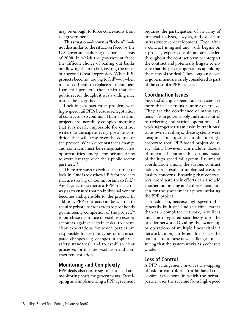may be enough to force concessions from the government.

This situation—known as "lock-in" 27—is not dissimilar to the situation faced by the U.S. government during the financial crisis of 2008, in which the government faced the difficult choice of bailing out banks or allowing them to fail, risking the onset of a second Great Depression. When PPP projects become "too big to fail"—or when it is too difficult to replace an incumbent firm mid-project—then risks that the public sector thought it was avoiding may instead be magnified.

Lock-in is a particular problem with high-speed rail PPPs because renegotiation of contracts is so common. High-speed rail projects are incredibly complex, meaning that it is nearly impossible for contract writers to anticipate every possible condition that will arise over the course of the project. When circumstances change and contracts must be renegotiated, new opportunities emerge for private firms to exert leverage over their public sector partners.28

There are ways to reduce the threat of lock-in. One is to eschew PPPs for projects that are too big or too important to fail.<sup>29</sup> Another is to structure PPPs in such a way as to ensure that no individual vendor becomes indispensible to the project. In addition, PPP contracts can be written to require private-sector actors to post bonds guaranteeing completion of the project,  $30$ to purchase insurance or establish escrow accounts against certain risks, to create clear expectations for which parties are responsible for certain types of unanticipated changes (e.g. changes in applicable safety standards), and to establish clear processes for dispute resolution and contract renegotiation.

#### **Monitoring and Complexity**

PPP deals also create significant legal and monitoring costs for governments. Developing and implementing a PPP agreement requires the participation of an army of financial analysts, lawyers, and experts in infrastructure development. Even after a contract is signed and work begins on a project, expert consultants are needed throughout the contract term to interpret the contract and potentially litigate to ensure that the private operator is upholding the terms of the deal. These ongoing costs to government are rarely considered as part of the cost of a PPP project.

#### **Coordination Issues**

Successful high-speed rail services are more than just trains running on tracks. They are the confluence of many systems—from power supply and train control to ticketing and station operations—all working together seamlessly. In traditional state-owned railways, these systems were designed and operated under a single corporate roof. PPP-based project delivery plans, however, can include dozens of individual contracts for various pieces of the high-speed rail system. Failures of coordination among the various contract holders can result in unplanned costs or quality concerns. Ensuring that contractors coordinate their efforts can also add another monitoring and enforcement burden for the government agency initiating the PPP project.

In addition, because high-speed rail is generally built one line at a time, rather than as a completed network, new lines must be integrated seamlessly into the broader network. Dividing the ownership or operations of multiple lines within a network among different firms has the potential to impose new challenges in ensuring that the system works as a cohesive whole.

#### **Loss of Control**

A PPP arrangement involves a swapping of risk for control. In a traffic-based concession agreement (in which the private partner uses the revenue from high-speed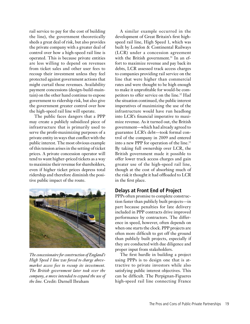rail service to pay for the cost of building the line), the government theoretically sheds a great deal of risk, but also provides the private company with a greater deal of control over how a high-speed rail line is operated. This is because private entities are less willing to depend on revenues from ticket sales and other user fees to recoup their investment unless they feel protected against government actions that might curtail those revenues. Availability payment concessions (design-build-maintain) on the other hand continue to expose government to ridership risk, but also give the government greater control over how the high-speed rail line will operate.

The public faces dangers that a PPP may create a publicly subsidized piece of infrastructure that is primarily used to serve the profit-maximizing purposes of a private entity in ways that conflict with the public interest. The most obvious example of this tension arises in the setting of ticket prices. A private concession operator will tend to want higher-priced tickets as a way to maximize their revenue for shareholders, even if higher ticket prices depress total ridership and therefore diminish the positive public impact of the route.



*The concessionaire for construction of England's High Speed 1 line was forced to charge abovemarket access fees to recoup its investment. The British government later took over the company, a move intended to expand the use of the line.* Credit: Darnell Ibraham

A similar example occurred in the development of Great Britain's first highspeed rail line, High Speed 1, which was built by London & Continental Railways (LCR) under a concession agreement with the British government.<sup>31</sup> In an effort to maximize revenue and pay back its debts, LCR assessed track access charges to companies providing rail service on the line that were higher than commercial rates and were thought to be high enough to make it unprofitable for would-be competitors to offer service on the line.32 Had the situation continued, the public interest imperatives of maximizing the use of the infrastructure would have run headlong into LCR's financial imperative to maximize revenue. As it turned out, the British government—which had already agreed to guarantee LCR's debt—took formal control of the company in 2009 and entered into a new PPP for operation of the line.<sup>33</sup> By taking full ownership over LCR, the British government made it possible to offer lower track access charges and gain greater use of the high-speed rail line, though at the cost of absorbing much of the risk it thought it had offloaded to LCR in the first place.

#### **Delays at Front End of Project**

PPPs often promise to complete construction faster than publicly built projects—in part because penalties for late delivery included in PPP contracts drive improved performance by contractors. The difference in speed, however, often depends on when one starts the clock. PPP projects are often more difficult to get off the ground than publicly built projects, especially if they are conducted with due diligence and proper input from stakeholders.

The first hurdle in building a project using PPPs is to design one that is attractive to private investors while also satisfying public interest objectives. This can be difficult. The Perpignan-Figueres high-speed rail line connecting France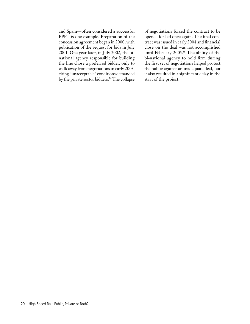and Spain—often considered a successful PPP—is one example. Preparation of the concession agreement began in 2000, with publication of the request for bids in July 2001. One year later, in July 2002, the binational agency responsible for building the line chose a preferred bidder, only to walk away from negotiations in early 2003, citing "unacceptable" conditions demanded by the private sector bidders.<sup>34</sup> The collapse of negotiations forced the contract to be opened for bid once again. The final contract was issued in early 2004 and financial close on the deal was not accomplished until February 2005.<sup>35</sup> The ability of the bi-national agency to hold firm during the first set of negotiations helped protect the public against an inadequate deal, but it also resulted in a significant delay in the start of the project.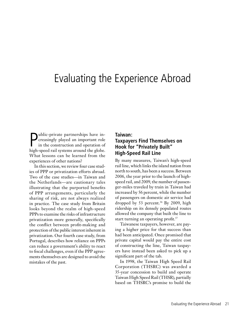## Evaluating the Experience Abroad

**P**ublic-private partnerships have in-<br>creasingly played an important role<br>in the construction and operation of<br>high speed rail systems around the globe creasingly played an important role in the construction and operation of high-speed rail systems around the globe. What lessons can be learned from the experiences of other nations?

In this section, we review four case studies of PPP or privatization efforts abroad. Two of the case studies—in Taiwan and the Netherlands—are cautionary tales illustrating that the purported benefits of PPP arrangements, particularly the sharing of risk, are not always realized in practice. The case study from Britain looks beyond the realm of high-speed PPPs to examine the risks of infrastructure privatization more generally, specifically the conflict between profit-making and protection of the public interest inherent in privatization. Our fourth case study, from Portugal, describes how reliance on PPPs can reduce a government's ability to react to fiscal challenges, even if the PPP agreements themselves are designed to avoid the mistakes of the past.

#### **Taiwan:**

#### **Taxpayers Find Themselves on Hook for "Privately Built" High-Speed Rail Line**

By many measures, Taiwan's high-speed rail line, which links the island nation from north to south, has been a success. Between 2006, the year prior to the launch of highspeed rail, and 2009, the number of passenger-miles traveled by train in Taiwan had increased by 56 percent, while the number of passengers on domestic air service had dropped by 53 percent.<sup>36</sup> By 2009, high ridership on its densely populated routes allowed the company that built the line to start turning an operating profit.<sup>37</sup>

Taiwanese taxpayers, however, are paying a higher price for that success than had been anticipated. Once promised that private capital would pay the entire cost of constructing the line, Taiwan taxpayers have instead been asked to pick up a significant part of the tab.

In 1998, the Taiwan High Speed Rail Corporation (THSRC) was awarded a 35-year concession to build and operate Taiwan High Speed Rail (THSR), partially based on THSRC's promise to build the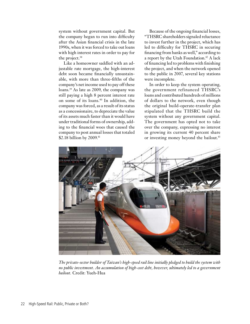system without government capital. But the company began to run into difficulty after the Asian financial crisis in the late 1990s, when it was forced to take out loans with high interest rates in order to pay for the project.<sup>38</sup>

Like a homeowner saddled with an adjustable rate mortgage, the high-interest debt soon became financially unsustainable, with more than three-fifths of the company's net income used to pay off these loans.39 As late as 2009, the company was still paying a high 8 percent interest rate on some of its loans.40 In addition, the company was forced, as a result of its status as a concessionaire, to depreciate the value of its assets much faster than it would have under traditional forms of ownership, adding to the financial woes that caused the company to post annual losses that totaled \$2.18 billion by 2009.<sup>41</sup>

Because of the ongoing financial losses, "THSRC shareholders signaled reluctance to invest further in the project, which has led to difficulty for THSRC in securing financing from banks as well," according to a report by the Utah Foundation.<sup>42</sup> A lack of financing led to problems with finishing the project, and when the network opened to the public in 2007, several key stations were incomplete.

In order to keep the system operating, the government refinanced THSRC's loans and contributed hundreds of millions of dollars to the network, even though the original build-operate-transfer plan stipulated that the THSRC build the system without any government capital. The government has opted not to take over the company, expressing no interest in growing its current 40 percent share or investing money beyond the bailout.<sup>43</sup>



*The private-sector builder of Taiwan's high-speed rail line initially pledged to build the system with no public investment. An accumulation of high-cost debt, however, ultimately led to a government bailout.* Credit: Yueh-Hua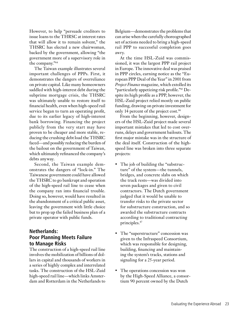However, to help "persuade creditors to issue loans to the THRSC at interest rates that will allow it to remain solvent," the THSRC has elected a new chairwoman, backed by the government, allowing "the government more of a supervisory role in the company."44

The Taiwan example illustrates several important challenges of PPPs. First, it demonstrates the dangers of overreliance on private capital. Like many homeowners saddled with high-interest debt during the subprime mortgage crisis, the THSRC was ultimately unable to restore itself to financial health, even when high-speed rail service began to turn an operating profit, due to its earlier legacy of high-interest bank borrowing. Financing the project publicly from the very start may have proven to be cheaper and more stable, reducing the crushing debt load the THSRC faced—and possibly reducing the burden of the bailout on the government of Taiwan, which ultimately refinanced the company's debts anyway.

Second, the Taiwan example demonstrates the dangers of "lock-in." The Taiwanese government could have allowed the THSRC to go bankrupt and operation of the high-speed rail line to cease when the company ran into financial trouble. Doing so, however, would have resulted in the abandonment of a critical public asset, leaving the government with little choice but to prop up the failed business plan of a private operator with public funds.

#### **Netherlands: Poor Planning Meets Failure to Manage Risks**

The construction of a high-speed rail line involves the mobilization of billions of dollars in capital and thousands of workers in a series of highly complex and interrelated tasks. The construction of the HSL-Zuid high-speed rail line—which links Amsterdam and Rotterdam in the Netherlands to

Belgium—demonstrates the problems that can arise when the carefully choreographed set of actions needed to bring a high-speed rail PPP to successful completion goes awry.

At the time HSL-Zuid was commissioned, it was the largest PPP rail project in Europe. The innovative deal was praised in PPP circles, earning notice as the "European PPP Deal of the Year" in 2001 from *Project Finance* magazine, which extolled its "particularly appetizing risk profile."45 Despite its high profile as a PPP, however, the HSL-Zuid project relied mostly on public funding, drawing on private investment for only 14 percent of the project cost.<sup>46</sup>

From the beginning, however, designers of the HSL-Zuid project made several important mistakes that led to cost overruns, delays and government bailouts. The first major mistake was in the structure of the deal itself. Construction of the highspeed line was broken into three separate projects:

- The job of building the "substructure" of the system—the tunnels, bridges, and concrete slabs on which the track rests—was divided into seven packages and given to civil contractors. The Dutch government judged that it would be unable to transfer risks to the private sector for substructure construction, and so awarded the substructure contracts according to traditional contracting principles.47
- The "superstructure" concession was given to the Infraspeed Consortium, which was responsible for designing, building, financing and maintaining the system's tracks, stations and signaling for a 25-year period.
- The operations concession was won by the High-Speed Alliance, a consortium 90 percent owned by the Dutch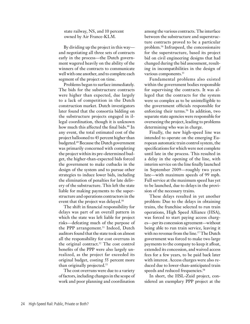#### state railway, NS, and 10 percent owned by Air France-KLM.

By dividing up the project in this way and negotiating all three sets of contracts early in the process—the Dutch government wagered heavily on the ability of the winners of the contracts to communicate well with one another, and to complete each segment of the project on time.

Problems began to surface immediately. The bids for the substructure contracts were higher than expected, due largely to a lack of competition in the Dutch construction market. Dutch investigators later found that the consortia bidding on the substructure projects engaged in illegal coordination, though it is unknown how much this affected the final bids.<sup>48</sup> In any event, the total estimated cost of the project ballooned to 43 percent higher than budgeted.<sup>49</sup> Because the Dutch government was primarily concerned with completing the project within its pre-determined budget, the higher-than-expected bids forced the government to make cutbacks in the design of the system and to pursue other strategies to induce lower bids, including the elimination of penalties for late delivery of the substructure. This left the state liable for making payments to the superstructure and operations contractors in the event that the project was delayed.<sup>50</sup>

The shift in financial responsibility for delays was part of an overall pattern in which the state was left liable for project risks—defeating much of the purpose of the PPP arrangement.<sup>51</sup> Indeed, Dutch auditors found that the state took on almost all the responsibility for cost overruns in the original contract.<sup>52</sup> The cost control benefits of the PPP were also largely unrealized, as the project far exceeded its original budget, costing 55 percent more than originally projected.53

The cost overruns were due to a variety of factors, including changes in the scope of work and poor planning and coordination

among the various contracts. The interface between the substructure and superstructure contracts proved to be a particular problem.54 Infraspeed, the concessionaire for the superstructure, based its project bid on civil engineering designs that had changed during the bid assessment, resulting in incompatibilities in the design of various components.<sup>55</sup>

Fundamental problems also existed within the government bodies responsible for supervising the contracts. It was alleged that the contracts for the system were so complex as to be unintelligible to the government officials responsible for enforcing their terms.<sup>56</sup> In addition, two separate state agencies were responsible for overseeing the project, leading to problems determining who was in charge.

Finally, the new high-speed line was intended to operate on the emerging European automatic train control system, the specifications for which were not complete until late in the process. This resulted in a delay in the opening of the line, with interim service on the line finally launched in September 2009—roughly two years late—with maximum speeds of 99 mph. Full service at the maximum speed has yet to be launched, due to delays in the provision of the necessary trains.

These delays resulted in yet another problem: Due to the delays in obtaining trains, the franchise selected to run train operations, High Speed Alliance (HSA), was forced to start paying access charges—per its concession agreement—without being able to run train service, leaving it with no revenue from the line.<sup>57</sup> The Dutch government was forced to make two large payments to the company to keep it afloat, extended its concession, and waived access fees for a few years, to be paid back later with interest. Access charges were also reduced due to lower-than-anticipated train speeds and reduced frequencies.<sup>58</sup>

In short, the HSL-Zuid project, considered an exemplary PPP project at the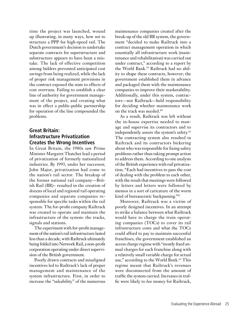time the project was launched, wound up illustrating, in many ways, how *not* to structure a PPP for high-speed rail. The Dutch government's decision to undertake separate contracts for superstructure and substructure appears to have been a mistake. The lack of effective competition among bidders prevented anticipated cost savings from being realized, while the lack of proper risk management provisions in the contract exposed the state to effects of cost overruns. Failing to establish a clear line of authority for government management of the project, and creating what was in effect a public-public partnership for operation of the line compounded the problems.

#### **Great Britain: Infrastructure Privatization Creates the Wrong Incentives**

In Great Britain, the 1980s saw Prime Minister Margaret Thatcher lead a period of privatization of formerly nationalized industries. By 1993, under her successor, John Major, privatization had come to the nation's rail sector. The breakup of the former national rail company—British Rail (BR)– resulted in the creation of dozens of local and regional rail operating companies and separate companies responsible for specific tasks within the rail system. The for-profit company Railtrack was created to operate and maintain the infrastructure of the system: the tracks, signals and stations.

The experiment with for-profit management of the nation's rail infrastructure lasted less than a decade, with Railtrack ultimately being folded into Network Rail, a non-profit corporation operating under direct supervision of the British government.

Poorly drawn contracts and misaligned incentives led to Railtrack's lack of proper management and maintenance of the system infrastructure. First, in order to increase the "saleability" of the numerous maintenance companies created after the break-up of the old BR system, the government "decided to make Railtrack into a contract management operation in which essentially all infrastructure work (maintenance and rehabilitation) was carried out under contract," according to a report by the World Bank.59 Railtrack had no ability to shape these contracts, however; the government established them in advance and packaged them with the maintenance companies to improve their marketability. Additionally, under this system, contractors—not Railtrack—held responsibility for deciding whether maintenance work on the track was needed.60

As a result, Railtrack was left without the in-house expertise needed to manage and supervise its contractors and to independently assure the system's safety.<sup>61</sup> The contracting system also resulted in Railtrack and its contractors bickering about who was responsible for fixing safety problems rather than taking prompt action to address them. According to one analysis of the British experience with rail privatization, "Each had incentives to pass the cost of dealing with the problem to each other, with the result that meetings were followed by letters and letters were followed by memos in a sort of caricature of the worst kind of bureaucratic buckpassing."62

Moreover, Railtrack was a victim of poorly designed incentives. In an attempt to strike a balance between what Railtrack would have to charge the train operating companies (TOCs) to cover its rail infrastructure costs and what the TOCs could afford to pay to maintain successful franchises, the government established an access charge regime with "mostly fixed annual charges for each franchise along with a relatively small variable charge for actual use," according to the World Bank.<sup>63</sup> This regime meant that Railtrack's revenues were disconnected from the amount of traffic the system carried. Increases in traffic were likely to *lose* money for Railtrack,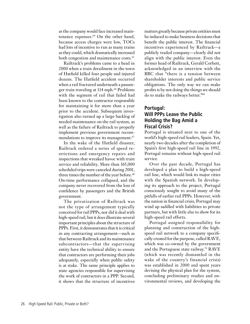as the company would face increased maintenance expenses.<sup>64</sup> On the other hand, because access charges were low, TOCs had lots of incentive to run as many trains as they could, which dramatically increased both congestion and maintenance costs.<sup>65</sup>

Railtrack's problems came to a head in 2000 when a train derailment in the town of Hatfield killed four people and injured dozens. The Hatfield accident occurred when a rail fractured underneath a passenger train traveling at 114 mph.<sup>66</sup> Problems with the segment of rail that failed had been known to the contractor responsible for maintaining it for more than a year prior to the accident. Subsequent investigation also turned up a large backlog of needed maintenance on the rail system, as well as the failure of Railtrack to properly implement previous government recommendations to improve its management.<sup>67</sup>

In the wake of the Hatfield disaster, Railtrack ordered a series of speed restrictions and emergency repairs and inspections that wreaked havoc with train service and reliability. More than 165,000 scheduled trips were canceled during 2001, three times the number of the year before.<sup>68</sup> On-time performance collapsed, and the company never recovered from the loss of confidence by passengers and the British government.

The privatization of Railtrack was not the type of arrangement typically conceived for rail PPPs, nor did it deal with high-speed rail, but it does illustrate several important principles about the structure of PPPs. First, it demonstrates that it is critical in any contracting arrangement—such as that between Railtrack and its maintenance subcontractors—that the supervising entity have the technical ability to ensure that contractors are performing their jobs adequately, especially when public safety is at stake. The same principle applies to state agencies responsible for supervising the work of contractors in a PPP. Second, it shows that the structure of incentives

matters greatly because private entities must be induced to make business decisions that benefit the public interest. The financial incentives experienced by Railtrack—a publicly traded company—clearly did not align with the public interest. Even the former head of Railtrack, Gerald Corbett, acknowledged in an interview with the BBC that "there is a tension between shareholder interests and public service obligations. The only way we can make profits is by not doing the things we should do to make the railways better."<sup>69</sup>

#### **Portugal: Will PPPs Leave the Public Holding the Bag Amid a Fiscal Crisis?**

Portugal is situated next to one of the world's high-speed rail leaders, Spain. Yet, nearly two decades after the completion of Spain's first high-speed rail line in 1992, Portugal remains without high-speed rail service.

Over the past decade, Portugal has developed a plan to build a high-speed rail line, which would link its major cities with the Spanish network. In developing its approach to the project, Portugal consciously sought to avoid many of the pitfalls of earlier rail PPPs. However, with the nation in financial crisis, Portugal may wind up saddled with liabilities to private partners, but with little else to show for its high-speed rail efforts.

Portugal assigned responsibility for planning and construction of the highspeed rail network to a company specifically created for the purpose, called RAVE, which was co-owned by the government and the Portuguese state railway.70 RAVE (which was recently dismantled in the wake of the country's financial crisis) was established in 2000 and spent years devising the physical plan for the system, concluding preliminary studies and environmental reviews, and developing the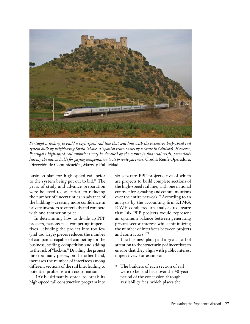

*Portugal is seeking to build a high-speed rail line that will link with the extensive high-speed rail system built by neighboring Spain (above, a Spanish train passes by a castle in Córdoba). However, Portugal's high-speed rail ambitions may be derailed by the country's financial crisis, potentially leaving the nation liable for paying compensation to its private partners.* Credit: Renfe Operadora, Dirección de Comunicación, Marca y Publicidad

business plan for high-speed rail prior to the system being put out to bid.71 The years of study and advance preparation were believed to be critical to reducing the number of uncertainties in advance of the bidding—creating more confidence in private investors to enter bids and compete with one another on price.

In determining how to divide up PPP projects, nations face competing imperatives—dividing the project into too few (and too large) pieces reduces the number of companies capable of competing for the business, stifling competition and adding to the risk of "lock-in." Dividing the project into too many pieces, on the other hand, increases the number of interfaces among different sections of the rail line, leading to potential problems with coordination.

RAVE ultimately opted to break its high-speed rail construction program into six separate PPP projects, five of which are projects to build complete sections of the high-speed rail line, with one national contract for signaling and communications over the entire network.72 According to an analysis by the accounting firm KPMG, RAVE conducted an analysis to ensure that "six PPP projects would represent an optimum balance between generating private-sector interest while minimizing the number of interfaces between projects and contractors."73

The business plan paid a great deal of attention to the structuring of incentives to ensure that they align with public interest imperatives. For example:

• The builders of each section of rail were to be paid back over the 40-year period of the concession through availability fees, which places the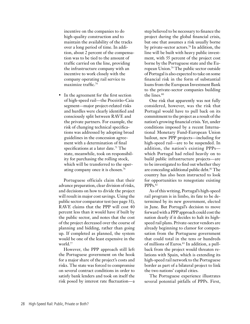incentive on the companies to do high-quality construction and to maintain the availability of the tracks over a long period of time. In addition, about 2 percent of the compensation was to be tied to the amount of traffic carried on the line, providing the infrastructure company with an incentive to work closely with the company operating rail service to maximize traffic.74

In the agreement for the first section of high-speed rail—the Poceirão-Caia segment—major project-related risks and hurdles were clearly identified and consciously split between RAVE and the private partners. For example, the risk of changing technical specifications was addressed by adopting broad guidelines in the concession agreement with a determination of final specifications at a later date.<sup>75</sup> The state, meanwhile, took on responsibility for purchasing the rolling stock, which will be transferred to the operating company once it is chosen.<sup>76</sup>

Portuguese officials claim that their advance preparation, clear division of risks, and decisions on how to divide the project will result in major cost savings. Using the public sector comparator test (see page 31), RAVE claims that the PPP will cost 40 percent less than it would have if built by the public sector, and notes that the cost of the project decreased over the course of planning and bidding, rather than going up. If completed as planned, the system would be one of the least expensive in the world.<sup>77</sup>

However, the PPP approach still left the Portuguese government on the hook for a major share of the project's costs and risks. The state was forced to compromise on several contract conditions in order to satisfy bank lenders and took on itself the risk posed by interest rate fluctuation—a

step believed to be necessary to finance the project during the global financial crisis, but one that assumes a risk usually borne by private-sector actors.78 In addition, the line will be built with heavy public investment, with 55 percent of the project cost borne by the Portuguese state and the European Union.79 The public sector outside of Portugal is also expected to take on some financial risk in the form of substantial loans from the European Investment Bank to the private-sector companies building the lines.<sup>80</sup>

One risk that apparently was not fully considered, however, was the risk that Portugal would have to pull back on its commitment to the project as a result of the nation's growing financial crisis. Yet, under conditions imposed by a recent International Monetary Fund-European Union bailout, new PPP projects—including for high-speed rail—are to be suspended. In addition, the nation's existing PPPs which Portugal had relied heavily on to build public infrastructure projects—are to be investigated to find out whether they are concealing additional public debt.<sup>81</sup> The country has also been instructed to look for opportunities to renegotiate existing PPP<sub>S</sub>.82

As of this writing, Portugal's high-speed rail program is in limbo, its fate to be determined by its new government, elected in June. But Portugal's decision to move forward with a PPP approach could cost the nation dearly if it decides to halt its highspeed rail plans. Private-sector vendors are already beginning to clamor for compensation from the Portuguese government that could total in the tens or hundreds of millions of Euros.<sup>83</sup> In addition, a pullback from the project would threaten relations with Spain, which is extending its high-speed rail network to the Portuguese border as part of a bilateral project to link the two nations' capital cities.

The Portuguese experience illustrates several potential pitfalls of PPPs. First,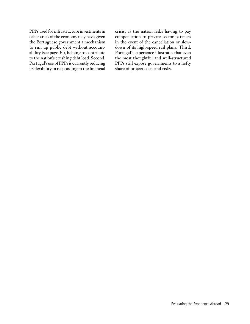PPPs used for infrastructure investments in other areas of the economy may have given the Portuguese government a mechanism to run up public debt without accountability (see page 30), helping to contribute to the nation's crushing debt load. Second, Portugal's use of PPPs is currently reducing its flexibility in responding to the financial

crisis, as the nation risks having to pay compensation to private-sector partners in the event of the cancellation or slowdown of its high-speed rail plans. Third, Portugal's experience illustrates that even the most thoughtful and well-structured PPPs still expose governments to a hefty share of project costs and risks.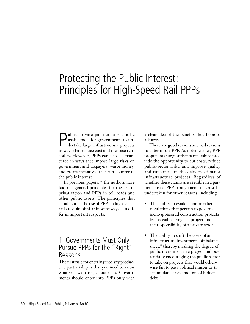## Protecting the Public Interest: Principles for High-Speed Rail PPPs

P<br>in we ublic-private partnerships can be useful tools for governments to undertake large infrastructure projects in ways that reduce cost and increase reliability. However, PPPs can also be structured in ways that impose large risks on government and taxpayers, waste money, and create incentives that run counter to the public interest.

In previous papers,<sup>84</sup> the authors have laid out general principles for the use of privatization and PPPs in toll roads and other public assets. The principles that should guide the use of PPPs in high-speed rail are quite similar in some ways, but differ in important respects.

### 1: Governments Must Only Pursue PPPs for the "Right" Reasons

The first rule for entering into any productive partnership is that you need to know what you want to get out of it. Governments should enter into PPPs only with a clear idea of the benefits they hope to achieve.

There are good reasons and bad reasons to enter into a PPP. As noted earlier, PPP proponents suggest that partnerships provide the opportunity to cut costs, reduce public-sector risks, and improve quality and timeliness in the delivery of major infrastructure projects. Regardless of whether these claims are credible in a particular case, PPP arrangements may also be undertaken for other reasons, including:

- The ability to evade labor or other regulations that pertain to government-sponsored construction projects by instead placing the project under the responsibility of a private actor.
- The ability to shift the costs of an infrastructure investment "off balance sheet," thereby masking the degree of public investment in a project and potentially encouraging the public sector to take on projects that would otherwise fail to pass political muster or to accumulate large amounts of hidden debt.85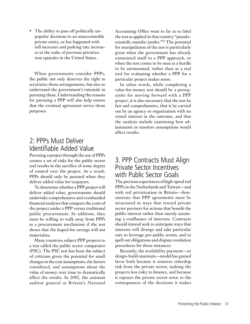• The ability to pass off politically unpopular decisions to an unaccountable private entity, as has happened with toll increases and parking rate increases in the wake of previous privatization episodes in the United States.

When governments consider PPPs, the public not only deserves the right to scrutinize those arrangements, but also to understand the government's rationale in pursuing them. Understanding the reasons for pursuing a PPP will also help ensure that the eventual agreement serves those purposes.

## 2: PPPs Must Deliver Identifiable Added Value

Pursuing a project through the use of PPPs creates a set of risks for the public sector and results in the sacrifice of some degree of control over the project. As a result, PPPs should only be pursued when they deliver added value for taxpayers.

To determine whether a PPP project will deliver added value, governments should undertake comprehensive and evenhanded financial analyses that compare the costs of the project under a PPP versus traditional public procurement. In addition, they must be willing to walk away from PPPs as a procurement mechanism if the test shows that the hoped-for savings will not materialize.

Many countries subject PPP projects to a test called the public sector comparator (PSC). The PSC test has been the subject of criticism given the potential for small changes in the cost assumptions, the factors considered, and assumptions about the value of money over time to dramatically affect the results. In 2002, the assistant auditor general at Britain's National

Accounting Office went so far as to label the test as applied in that country "pseudoscientific mumbo jumbo."86 The potential for manipulation of the test is particularly great when the government has already committed itself to a PPP approach, or when the test comes to be seen as a hurdle to be surmounted, rather than as a real tool for evaluating whether a PPP for a particular project makes sense.

In other words, while completing a value-for-money test should be a prerequisite for moving forward with a PPP project, it is also necessary that the test be fair and comprehensive, that it be carried out by an agency or organization with no vested interest in the outcome, and that the analysis include examining how adjustments in sensitive assumptions would affect results.

### 3. PPP Contracts Must Align Private Sector Incentives with Public Sector Goals

The previous experiences of high-speed rail PPPs in the Netherlands and Taiwan—and with rail privatization in Britain—demonstrate that PPP agreements must be structured in ways that reward private sector partners for actions that benefit the public interest rather than merely assuming a confluence of interests. Contracts should instead seek to anticipate ways that interests will diverge and take particular care to leverage pro-public action, and to spell out obligations and dispute resolution procedures for those instances.

Recently, the availability payment—or design-build-maintain—model has gained favor both because it removes ridership risk from the private sector, making the projects less risky to finance, and because it exposes the private sector actor to the consequences of the decisions it makes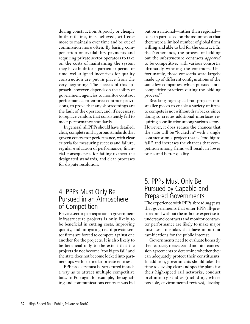during construction. A poorly or cheaply built rail line, it is believed, will cost more to maintain over time and be out of commission more often. By basing compensation on availability payments and requiring private sector operators to take on the costs of maintaining the system they have built for a particular period of time, well-aligned incentives for quality construction are put in place from the very beginning. The success of this approach, however, depends on the ability of government agencies to monitor contract performance, to enforce contract provisions, to prove that any shortcomings are the fault of the operator, and, if necessary, to replace vendors that consistently fail to meet performance standards.

In general, all PPPs should have detailed, clear, complete and rigorous standards that govern contractor performance, with clear criteria for measuring success and failure, regular evaluation of performance, financial consequences for failing to meet the designated standards, and clear processes for dispute resolution.

## 4. PPPs Must Only Be Pursued in an Atmosphere of Competition

Private sector participation in government infrastructure projects is only likely to be beneficial in cutting costs, improving quality, and mitigating risk if private sector firms are forced to compete against one another for the projects. It is also likely to be beneficial only to the extent that the projects do not become "too big to fail" and the state does not become locked into partnerships with particular private entities.

PPP projects must be structured in such a way as to attract multiple competitive bids. In Portugal, for example, the signaling and communications contract was bid

out on a national—rather than regional basis in part based on the assumption that there were a limited number of global firms willing and able to bid for the contract. In the Netherlands, the process of bidding out the substructure contracts *appeared* to be competitive, with various consortia ultimately winning the contracts. Unfortunately, those consortia were largely made up of different configurations of the same few companies, which pursued anticompetitive practices during the bidding process.87

Breaking high-speed rail projects into smaller pieces to enable a variety of firms to compete is not without drawbacks, since doing so creates additional interfaces requiring coordination among various actors. However, it does reduce the chances that the state will be "locked in" with a single contractor on a project that is "too big to fail," and increases the chances that competition among firms will result in lower prices and better quality.

### 5. PPPs Must Only Be Pursued by Capable and Prepared Governments

The experience with PPPs abroad suggests that governments that enter PPPs ill-prepared and without the in-house expertise to understand contracts and monitor contractor performance are likely to make major mistakes—mistakes that have important ramifications for the public interest.

Governments need to evaluate honestly their capacity to assess and monitor concession agreements to determine whether they can adequately protect their constituents. In addition, governments should take the time to develop clear and specific plans for their high-speed rail networks, conduct preliminary studies (including, where possible, environmental reviews), develop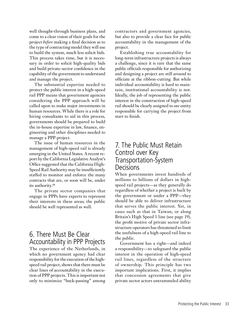well thought-through business plans, and come to a clear vision of their goals for the project *before* making a final decision as to the type of contracting model they will use to build the system, much less solicit bids. This process takes time, but it is necessary in order to solicit high-quality bids and build private-sector confidence in the capability of the government to understand and manage the project.

The substantial expertise needed to protect the public interest in a high-speed rail PPP means that government agencies considering the PPP approach will be called upon to make major investments in human resources. While there is a role for hiring consultants to aid in this process, governments should be prepared to build the in-house expertise in law, finance, engineering and other disciplines needed to manage a PPP project.

The issue of human resources in the management of high-speed rail is already emerging in the United States. A recent report by the California Legislative Analyst's Office suggested that the California High-Speed Rail Authority may be insufficiently staffed to monitor and enforce the many contracts that are, or soon will be, under its authority.88

The private sector companies that engage in PPPs have experts to represent their interests in these areas; the public should be well represented as well.

## 6. There Must Be Clear Accountability in PPP Projects

The experience of the Netherlands, in which no government agency had clear responsibility for the execution of the highspeed rail project, shows that there must be clear lines of accountability in the execution of PPP projects. This is important not only to minimize "buck-passing" among contractors and government agencies, but also to provide a clear face for public accountability in the management of the project.

Establishing true accountability for long-term infrastructure projects is always a challenge, since it is rare that the same public officials responsible for authorizing and designing a project are still around to officiate at the ribbon-cutting. But while individual accountability is hard to maintain, institutional accountability is not. Ideally, the job of representing the public interest in the construction of high-speed rail should be clearly assigned to *one* entity responsible for carrying the project from start to finish.

### 7. The Public Must Retain Control over Key Transportation-System **Decisions**

When governments invest hundreds of millions to billions of dollars in highspeed rail projects—as they generally do regardless of whether a project is built by the government or under a PPP—they should be able to deliver infrastructure that serves the public interest. Yet, in cases such as that in Taiwan, or along Britain's High Speed 1 line (see page 19), the profit motive of private sector infrastructure operators has threatened to limit the usefulness of a high-speed rail line to the public.

Government has a right—and indeed a responsibility—to safeguard the public interest in the operation of high-speed rail lines, regardless of the structure of ownership. This principle has two important implications. First, it implies that concession agreements that give private sector actors untrammeled ability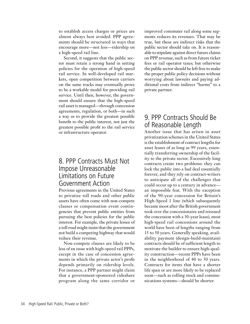to establish access charges or prices are almost always best avoided. PPP agreements should be structured in ways that encourage more—not less—ridership on a high-speed rail line.

Second, it suggests that the public sector must retain a strong hand in setting policies for the operation of high-speed rail service. In well-developed rail markets, open competition between carriers on the same tracks may eventually prove to be a workable model for providing rail service. Until then, however, the government should ensure that the high-speed rail asset is managed—through concession agreements, regulation, or both—in such a way as to provide the greatest possible benefit to the public interest, not just the greatest possible profit to the rail service or infrastructure operator.

### 8. PPP Contracts Must Not Impose Unreasonable Limitations on Future Government Action

Previous agreements in the United States to privatize toll roads and other public assets have often come with non-compete clauses or compensation event contingencies that prevent public entities from pursuing the best policies for the public interest. For example, the private lessee of a toll road might insist that the government not build a competing highway that would reduce their revenue.

Non-compete clauses are likely to be less of an issue with high-speed rail PPPs, except in the case of concession agreements in which the private actor's profit depends primarily on ridership levels. For instance, a PPP partner might claim that a government-sponsored rideshare program along the same corridor or

improved commuter rail along some segments reduces its revenues. That may be true, but these are indirect risks that the public sector should take on. It is reasonable to stipulate against direct future claims on PPP revenue, such as from future ticket fees or rail operator taxes; but otherwise the public sector should be left free to make the proper public policy decisions without worrying about lawsuits and paying additional costs from indirect "harms" to a private partner.

## 9. PPP Contracts Should Be of Reasonable Length

Another issue that has arisen in asset privatization schemes in the United States is the establishment of contract lengths for asset leases of as long as 99 years, essentially transferring ownership of the facility to the private sector. Excessively long contracts create two problems: they can lock the public into a bad deal essentially forever, and they rely on contract-writers to anticipate all of the challenges that could occur up to a century in advance an impossible feat. With the exception of the 90-year concession for Britain's High-Speed 1 line (which subsequently became moot after the British government took over the concessionaire and reissued the concession with a 30-year lease), most high-speed rail concessions around the world have been of lengths ranging from 15 to 50 years. Generally speaking, availability payment (design-build-maintain) contracts should be of sufficient length to motivate the builder to ensure high-quality construction—recent PPPs have been in the neighborhood of 40 to 50 years. Contracts for items that have a shorter life span or are more likely to be replaced soon—such as rolling stock and communications systems—should be shorter.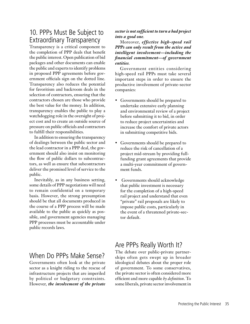## 10. PPPs Must Be Subject to Extraordinary Transparency

Transparency is a critical component to the completion of PPP deals that benefit the public interest. Open publication of bid packages and other documents can enable the public and experts to identify problems in proposed PPP agreements before government officials sign on the dotted line. Transparency also reduces the potential for favoritism and backroom deals in the selection of contractors, ensuring that the contractors chosen are those who provide the best value for the money. In addition, transparency enables the public to play a watchdogging role in the oversight of project cost and to create an outside source of pressure on public officials and contractors to fulfill their responsibilities.

In addition to ensuring the transparency of dealings between the public sector and the lead contractor in a PPP deal, the government should also insist on monitoring the flow of public dollars to subcontractors, as well as ensure that subcontractors deliver the promised level of service to the public.

Inevitably, as in any business setting, some details of PPP negotiations will need to remain confidential on a temporary basis. However, the strong presumption should be that all documents produced in the course of a PPP process will be made available to the public as quickly as possible, and government agencies managing PPP processes must be accountable under public records laws.

## When Do PPPs Make Sense?

Governments often look at the private sector as a knight riding to the rescue of infrastructure projects that are imperiled by political or budgetary constraints. However, *the involvement of the private* 

#### *sector is not sufficient to turn a bad project into a good one*.

Moreover, *effective high-speed rail PPPs can only result from the active and intelligent involvement—including the financial commitment—of government entities*.

Government entities considering high-speed rail PPPs must take several important steps in order to ensure the productive involvement of private-sector companies:

- Governments should be prepared to undertake extensive early planning and environmental review of a project before submitting it to bid, in order to reduce project uncertainties and increase the comfort of private actors in submitting competitive bids.
- Governments should be prepared to reduce the risk of cancellation of a project mid-stream by providing fullfunding grant agreements that provide a multi-year commitment of government funds.
- • Governments should acknowledge that public investment is necessary for the completion of a high-speed rail project and understand that even "private" rail proposals are likely to impose public costs, particularly in the event of a threatened private-sector default.

## Are PPPs Really Worth It?

The debate over public-private partnerships often gets swept up in broader ideological debates about the proper role of government. To some conservatives, the private sector is often considered more efficient and more capable *by definition*. To some liberals, private sector involvement in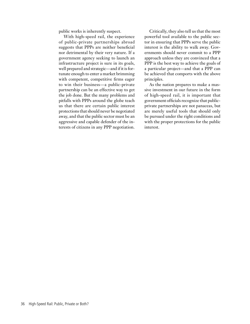public works is inherently suspect.

With high-speed rail, the experience of public-private partnerships abroad suggests that PPPs are neither beneficial nor detrimental by their very nature. If a government agency seeking to launch an infrastructure project is sure in its goals, well prepared and strategic—and if it is fortunate enough to enter a market brimming with competent, competitive firms eager to win their business—a public-private partnership can be an effective way to get the job done. But the many problems and pitfalls with PPPs around the globe teach us that there are certain public interest protections that should never be negotiated away, and that the public sector must be an aggressive and capable defender of the interests of citizens in any PPP negotiation.

Critically, they also tell us that the most powerful tool available to the public sector in ensuring that PPPs serve the public interest is the ability to walk away. Governments should never commit to a PPP approach unless they are convinced that a PPP is the best way to achieve the goals of a particular project—and that a PPP can be achieved that comports with the above principles.

As the nation prepares to make a massive investment in our future in the form of high-speed rail, it is important that government officials recognize that publicprivate partnerships are not panaceas, but are merely useful tools that should only be pursued under the right conditions and with the proper protections for the public interest.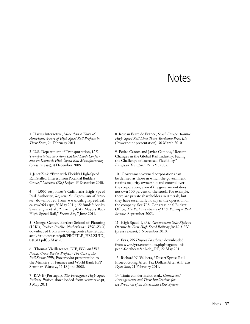## **Notes**

1 Harris Interactive, *More than a Third of Americans Aware of High Speed Rail Projects in Their State*, 24 February 2011.

2 U.S. Department of Transportation, *U.S. Transportation Secretary LaHood Leads Conference on Domestic High-Speed Rail Manufacturing* (press release), 4 December 2009.

3 Janet Zink, "Even with Florida's High-Speed Rail Stalled, Interest from Potential Builders Grows," *Lakeland (Fla.) Ledger*, 15 December 2010.

4 "1,000 responses": California High-Speed Rail Authority, *Requests for Expressions of Interest*, downloaded from www.cahighspeedrail. ca.gov/rfei.aspx, 20 May 2011; "22 funds": Ashley Swearengin et al., "Five Big-City Mayors Back High-Speed Rail," *Fresno Bee*, 7 June 2011.

5 Omega Center, Bartlett School of Planning (U.K.), *Project Profile: Netherlands: HSL-Zuid*, downloaded from www.omegacentre.bartlett.ucl. ac.uk/studies/cases/pdf/PROFILE\_HSLZUID\_ 040311.pdf, 3 May 2011.

6 Thomas Vieillescazes, DIF, *PPPs and EU Funds, Cross-Border Projects: The Case of the Rail Sector PPPs*, Powerpoint presentation to the Ministry of Finance and World Bank PPP Seminar, Warsaw, 17-18 June 2008.

7 RAVE (Portugal), *The Portuguese High-Speed Railway Project*, downloaded from www.rave.pt, 3 May 2011.

8 Reseau Ferre de France, *South Europe Atlantic High-Speed Rail Line: Tours-Bordeaux Press Kit* (Powerpoint presentation), 30 March 2010.

9 Pedro Cantos and Javier Campos, "Recent Changes in the Global Rail Industry: Facing the Challenge of Increased Flexibility," *European Transport*, 29:1-21, 2005.

10 Government-owned corporations can be defined as those in which the government retains majority ownership and control over the corporation, even if the government does not own 100 percent of the stock. For example, there are private shareholders in Amtrak, but they have essentially no say in the operation of the company. See U.S. Congressional Budget Office, *The Past and Future of U.S. Passenger Rail Service*, September 2003.

11 High Speed 1, *U.K. Government Sells Right to Operate Its First High Speed Railway for £2.1 BN* (press release), 5 November 2010.

12 Fyra, *NS Hispeed Factsheets*, downloaded from www.fyra.com/index.php?page=ns-hispeed-factsheets&hl=de\_DE, 22 May 2011.

13 Richard N. Vellotta, "DesertXpress Rail Project Going After Tax Dollars After All," *Las Vegas Sun*, 21 February 2011.

14 Tania von der Heidt et al., *Contractual Arrangements and Their Implications for the Provision of an Australian HSR System,*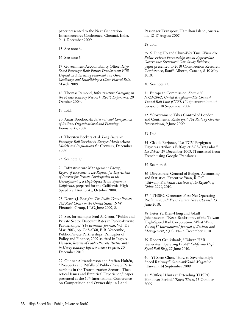paper presented to the Next Generation Infrastructures Conference, Chennai, India, 9-11 December 2009.

15 See note 6.

16 See note 5.

17 Government Accountability Office, *High Speed Passenger Rail: Future Development Will Depend on Addressing Financial and Other Challenges and Establishing a Clear Federal Role*, March 2009.

18 Thomas Remond, *Infrastructure Charging on the French Railway Network: RFF's Experience*, 29 October 2004.

19 Ibid.

20 Anzir Boodoo, *An International Comparison of Railway Organizational and Planning Frameworks,* 2002.

21 Thorsten Beckers et al. *Long Distance Passenger Rail Services in Europe: Market Access Models and Implications for Germany,* December 2009.

23 See note 17.

24 Infrastructure Management Group, *Report of Responses to the Request for Expressions of Interest for Private Participation in the Development of a High-Speed Train System in California*, prepared for the California High-Speed Rail Authority, October 2008.

25 Dennis J. Enright, *The Public Versus Private Toll Road Choice in the United States*, NW Financial Group, LLC, June 2007, 8.

26 See, for example: Paul A. Grout, "Public and Private Sector Discount Rates in Public-Private Partnerships," *The Economic Journal*, Vol. 113, Mar. 2003, pp. C62–C68; E.R. Yescombe, Public-Private Partnerships: Principles of Policy and Finance, 2007 as cited in Ingo A. Hansen, *Review of Public-Private Partnerships in Heavy Railway Infrastructure Projects*, 20 December 2010.

27 Gunnar Alexandersson and Staffan Hultén, "Prospects and Pitfalls of Public-Private Partnerships in the Transportation Sector—Theoretical Issues and Empirical Experience," paper presented at the 10<sup>th</sup> International Conference on Competition and Ownership in Land

Passenger Transport, Hamilton Island, Australia, 12-17 August 2007.

28 Ibid.

29 S. Ping Ho and Chun-Wei Tsui, *When Are Public-Private Partnerships not an Appropriate Governance Structure? Case Study Evidence*, paper presented to 2010 Construction Research Conference, Banff, Alberta, Canada, 8-10 May 2010.

30 See note 27.

31 European Commission, *State Aid N523/2002, United Kingdom—The Channel Tunnel Rail Link (CTRL IV)* (memorandum of decision), 18 September 2002.

32 "Government Takes Control of London and Continental Railways," *The Railway Gazette International*, 9 June 2009.

33 Ibid.

34 Claude Barjonet, "Le TGV Perpignan-Figueras attribué à Eiffage et ACS-Dragados," *Les Echoes*, 29 December 2003. (Translated from French using Google Translate.)

35 See note 6.

36 Directorate-General of Budget, Accounting and Statistics, Executive Yuan, R.O.C. (Taiwan), *Statistical Yearbook of the Republic of China 2009*, 2010.

37 "THSRC Generates First Net Operating Profit in 2009," *Focus Taiwan News Channel*, 23 June 2010.

38 Peter Yu Kien-Hong and Jokull Johannesson, "Near-Bankruptcy of the Taiwan High-Speed Rail Corporation: What Went Wrong?" *International Journal of Business and Management*, 5(12): 14-22, December 2010.

39 Robert Cruikshank, "Taiwan HSR Generates Operating Profit" *California High Speed Rail Blog*, 27 June 2010.

40 Yi-Shan Chen, "How to Save the High-Speed Railway?" *CommonWealth Magazine* (Taiwan), 24 September 2009.

41 "Official Hints at Extending THSRC Handover Period," *Taipei Times*, 15 October 2009.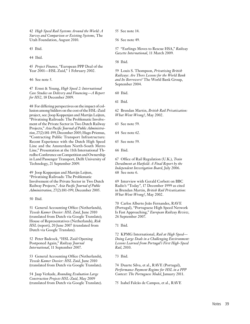42 *High Speed Rail Systems Around the World: A Survey and Comparison or Existing Systems*, The Utah Foundation, August 2010.

43 Ibid.

44 Ibid.

45 *Project Finance*, "European PPP Deal of the Year 2001—HSL Zuid," 1 February 2002.

46 See note 5.

47 Ernst & Young, *High Speed 2: International Case Studies on Delivery and Financing—A Report for HS2*, 18 December 2009.

48 For differing perspectives on the impact of collusion among bidders on the cost of the HSL-Zuid project, see: Joop Koppenjan and Martijn Leijten, "Privatising Railroads: The Problematic Involvement of the Private Sector in Two Dutch Railway Projects," *Asia Pacific Journal of Public Administration*, 27(2):181-199, December 2005; Hugo Priemus, "Contracting Public Transport Infrastructure: Recent Experience with the Dutch High Speed Line and the Amsterdam North-South Metro Line," Presentation at the 11th International Thredbo Conference on Competition and Ownership in Land Passenger Transport, Delft University of Technology, 21 September 2009.

49 Joop Koppenjan and Martijn Leijten, "Privatising Railroads: The Problematic Involvement of the Private Sector in Two Dutch Railway Projects," *Asia Pacific Journal of Public Administration*, 27(2):181-199, December 2005.

50 Ibid.

51 General Accounting Office (Netherlands), *Tweede Kamer Dossier: HSL Zuid*, June 2010 (translated from Dutch via Google Translate); House of Representatives (Netherlands), *Risk HSL* (report), 20 June 2007 (translated from Dutch via Google Translate).

52 Peter Badcock, "HSL Zuid Opening Postponed Again," *Railway Journal International*, 11 September 2007.

53 General Accounting Office (Netherlands), *Tweede Kamer Dossier: HSL Zuid*, June 2010 (translated from Dutch via Google Translate).

54 Jaap Verkade, *Rounding Evaluation Large Construction Projects HSL-Zuid*, May 2009 (translated from Dutch via Google Translate). 55 See note 14.

56 See note 49.

57 "Eurlings Moves to Rescue HSA," *Railway Gazette International*, 11 March 2009.

58 Ibid.

59 Louis S. Thompson, *Privatizing British Railways: Are There Lessons for the World Bank and Its Borrowers?* The World Bank Group, September 2004.

60 Ibid.

61 Ibid.

62 Brendan Martin, *British Rail Privatization: What Went Wrong?*, May 2002.

63 See note 59.

64 See note 62.

65 See note 59.

66 Ibid.

67 Office of Rail Regulation (U.K.), *Train Derailment at Hatfield: A Final Report by the Independent Investigation Board*, July 2006. 68 See note 6.

69 Interview with Gerald Corbett on BBC Radio's "Today", 17 December 1999 as cited in Brendan Martin, *British Rail Privatization: What Went Wrong?*, May 2002.

70 Carlos Alberto João Fernandes, RAVE (Portugal), "Portuguese High Speed Network Is Fast Approaching," *European Railway Review*, 26 September 2007.

71 Ibid.

72 KPMG International, *Rail at High Speed— Doing Large Deals in a Challenging Environment: Lessons Learned from Portugal's First High-Speed Rail*, 2010.

73 Ibid.

74 Duarte Silva, et al., RAVE (Portugal), *Performance Payment Regime for HSL in a PPP Context: The Portuguese Model*, January 2011.

75 Isabel Falcão de Campos, et al., RAVE